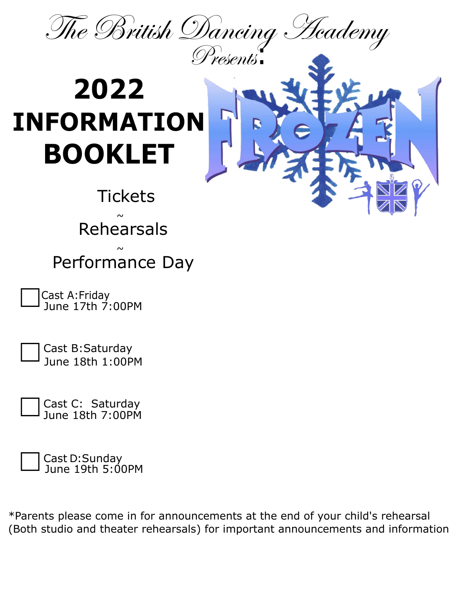

# **2022 INFORMATION BOOKLET**

## **Tickets**

 $\sim$ Rehearsals

## $\sim$ Performance Day

June 17th 7:00PM Cast A:Friday

Cast B:Saturday June 18th 1:00PM

Cast C: Saturday June 18th 7:00PM

Cast D:Sunday June 19th 5:00PM

\*Parents please come in for announcements at the end of your child's rehearsal (Both studio and theater rehearsals) for important announcements and information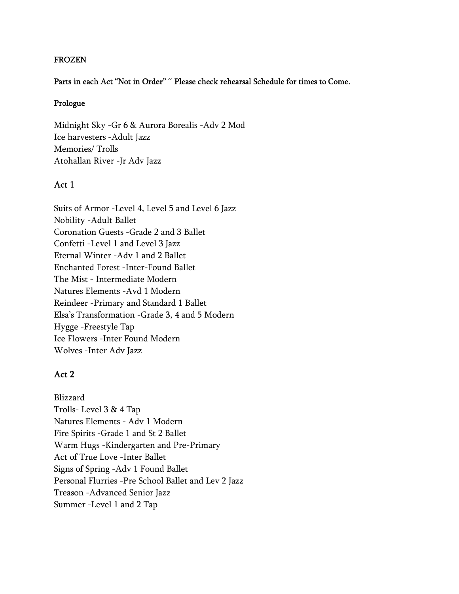#### FROZEN

#### Parts in each Act "Not in Order" ~ Please check rehearsal Schedule for times to Come.

#### Prologue

Midnight Sky -Gr 6 & Aurora Borealis -Adv 2 Mod Ice harvesters -Adult Jazz Memories/ Trolls Atohallan River -Jr Adv Jazz

#### Act 1

Suits of Armor -Level 4, Level 5 and Level 6 Jazz Nobility -Adult Ballet Coronation Guests -Grade 2 and 3 Ballet Confetti -Level 1 and Level 3 Jazz Eternal Winter -Adv 1 and 2 Ballet Enchanted Forest -Inter-Found Ballet The Mist - Intermediate Modern Natures Elements -Avd 1 Modern Reindeer -Primary and Standard 1 Ballet Elsa's Transformation -Grade 3, 4 and 5 Modern Hygge -Freestyle Tap Ice Flowers -Inter Found Modern Wolves -Inter Adv Jazz

#### Act 2

Blizzard Trolls- Level 3 & 4 Tap Natures Elements - Adv 1 Modern Fire Spirits -Grade 1 and St 2 Ballet Warm Hugs -Kindergarten and Pre-Primary Act of True Love -Inter Ballet Signs of Spring -Adv 1 Found Ballet Personal Flurries -Pre School Ballet and Lev 2 Jazz Treason -Advanced Senior Jazz Summer -Level 1 and 2 Tap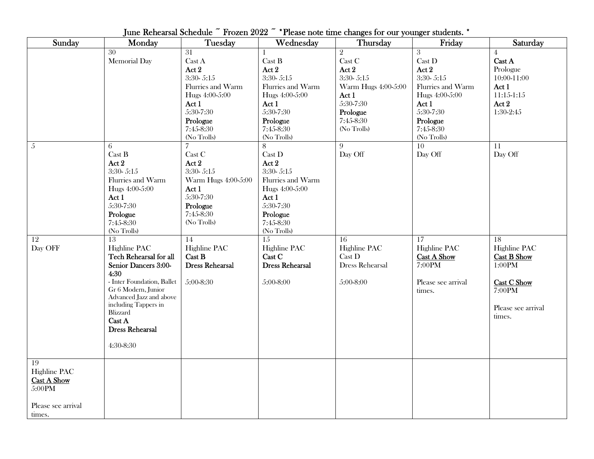| June Rehearsal Schedule ~ Frozen 2022 ~ * Please note time changes for our younger students. * |                                                                                                                                                                                                                                                   |                                                                                                                                             |                                                                                                                                            |                                                                                                                                         |                                                                                                                                            |                                                                                                                    |
|------------------------------------------------------------------------------------------------|---------------------------------------------------------------------------------------------------------------------------------------------------------------------------------------------------------------------------------------------------|---------------------------------------------------------------------------------------------------------------------------------------------|--------------------------------------------------------------------------------------------------------------------------------------------|-----------------------------------------------------------------------------------------------------------------------------------------|--------------------------------------------------------------------------------------------------------------------------------------------|--------------------------------------------------------------------------------------------------------------------|
| Sunday                                                                                         | Monday                                                                                                                                                                                                                                            | Tuesday                                                                                                                                     | Wednesday                                                                                                                                  | Thursday                                                                                                                                | Friday                                                                                                                                     | Saturday                                                                                                           |
|                                                                                                | $\overline{30}$<br>Memorial Day                                                                                                                                                                                                                   | 31<br>Cast A<br>Act 2<br>$3:30 - 5:15$<br>Flurries and Warm<br>Hugs 4:00-5:00<br>Act 1<br>5:30-7:30<br>Prologue<br>7:45-8:30<br>(No Trolls) | Cast B<br>Act 2<br>$3:30 - 5:15$<br>Flurries and Warm<br>Hugs 4:00-5:00<br>Act 1<br>5:30-7:30<br>Prologue<br>7:45-8:30<br>(No Trolls)      | $\overline{2}$<br>Cast C<br>Act 2<br>$3:30 - 5:15$<br>Warm Hugs 4:00-5:00<br>Act 1<br>5:30-7:30<br>Prologue<br>7:45-8:30<br>(No Trolls) | 3<br>Cast D<br>Act 2<br>$3:30 - 5:15$<br>Flurries and Warm<br>Hugs 4:00-5:00<br>Act 1<br>5:30-7:30<br>Prologue<br>7:45-8:30<br>(No Trolls) | 4<br>Cast A<br>Prologue<br>10:00-11:00<br>Act 1<br>$11:15-1:15$<br>Act 2<br>$1:30-2:45$                            |
| $\overline{5}$                                                                                 | 6<br>Cast B<br>Act 2<br>$3:30 - 5:15$<br>Flurries and Warm<br>Hugs 4:00-5:00<br>Act 1<br>5:30-7:30<br>Prologue<br>7:45-8:30<br>(No Trolls)                                                                                                        | Cast C<br>Act 2<br>3:30-5:15<br>Warm Hugs 4:00-5:00<br>Act 1<br>5:30-7:30<br>Prologue<br>7:45-8:30<br>(No Trolls)                           | 8<br>Cast D<br>Act 2<br>$3:30 - 5:15$<br>Flurries and Warm<br>Hugs 4:00-5:00<br>Act 1<br>5:30-7:30<br>Prologue<br>7:45-8:30<br>(No Trolls) | 9<br>Day Off                                                                                                                            | 10<br>Day Off                                                                                                                              | 11<br>Day Off                                                                                                      |
| 12<br>Day OFF                                                                                  | 13<br>Highline PAC<br>Tech Rehearsal for all<br>Senior Dancers 3:00-<br>4:30<br>- Inter Foundation, Ballet<br>Gr 6 Modern, Junior<br>Advanced Jazz and above<br>including Tappers in<br>Blizzard<br>Cast A<br><b>Dress Rehearsal</b><br>4:30-8:30 | 14<br>Highline PAC<br>Cast B<br><b>Dress Rehearsal</b><br>5:00-8:30                                                                         | 15<br>Highline PAC<br>Cast C<br><b>Dress Rehearsal</b><br>5:00-8:00                                                                        | 16<br>Highline PAC<br>Cast D<br><b>Dress Rehearsal</b><br>5:00-8:00                                                                     | 17<br>Highline PAC<br><b>Cast A Show</b><br>7:00PM<br>Please see arrival<br>times.                                                         | 18<br>Highline PAC<br><b>Cast B Show</b><br>1:00PM<br><b>Cast C Show</b><br>7:00PM<br>Please see arrival<br>times. |
| 19<br>Highline PAC<br><b>Cast A Show</b><br>5:00PM<br>Please see arrival<br>times.             |                                                                                                                                                                                                                                                   |                                                                                                                                             |                                                                                                                                            |                                                                                                                                         |                                                                                                                                            |                                                                                                                    |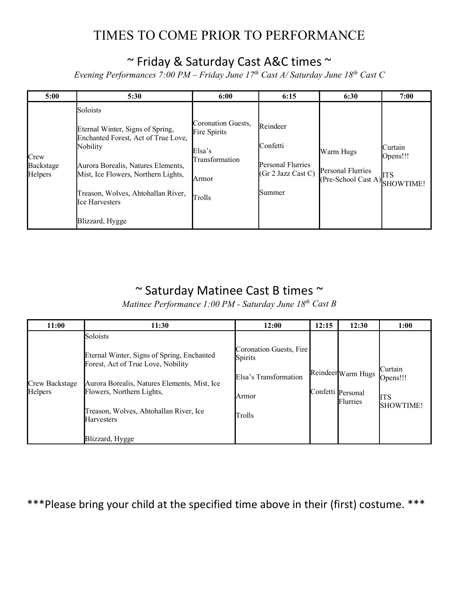## TIMES TO COME PRIOR TO PERFORMANCE

## ~ Friday & Saturday Cast A&C times ~

*Evening Performances 7:00 PM – Friday June 17th Cast A/ Saturday June 18th Cast C* 

| 5:00                         | 5:30                                                                                                                                                                                                                                        | 6:00                                                                              | 6:15                                                                                        | 6:30                                                                                 | 7:00                              |
|------------------------------|---------------------------------------------------------------------------------------------------------------------------------------------------------------------------------------------------------------------------------------------|-----------------------------------------------------------------------------------|---------------------------------------------------------------------------------------------|--------------------------------------------------------------------------------------|-----------------------------------|
| Crew<br>Backstage<br>Helpers | Soloists<br>Eternal Winter, Signs of Spring,<br>Enchanted Forest, Act of True Love,<br>Nobility<br>Aurora Borealis, Natures Elements,<br>Mist, Ice Flowers, Northern Lights,<br>Treason, Wolves, Ahtohallan River,<br><b>Ice Harvesters</b> | Coronation Guests,<br>Fire Spirits<br>Elsa's<br>Transformation<br>Armor<br>Trolls | Reindeer<br>Confetti<br><b>Personal Flurries</b><br>$(Gr 2 \text{ Jazz Cast } C)$<br>Summer | Warm Hugs<br><b>Personal Flurries</b><br>(Pre-School Cast A) <sup>**</sup> SHOWTIME! | Curtain<br>Opens!!!<br><b>ITS</b> |
|                              | Blizzard, Hygge                                                                                                                                                                                                                             |                                                                                   |                                                                                             |                                                                                      |                                   |

## ~ Saturday Matinee Cast B times ~

*Matinee Performance 1:00 PM - Saturday June 18th Cast B* 

| 11:00                     | 11:30                                                                                                                                                                                                                             | 12:00                                                                          | 12:15 | 12:30                                               | 1:00                                                  |
|---------------------------|-----------------------------------------------------------------------------------------------------------------------------------------------------------------------------------------------------------------------------------|--------------------------------------------------------------------------------|-------|-----------------------------------------------------|-------------------------------------------------------|
| Crew Backstage<br>Helpers | Soloists<br>Eternal Winter, Signs of Spring, Enchanted<br>Forest, Act of True Love, Nobility<br>Aurora Borealis, Natures Elements, Mist, Ice<br>Flowers, Northern Lights,<br>Treason, Wolves, Ahtohallan River, Ice<br>Harvesters | Coronation Guests, Fire<br>Spirits<br>Elsa's Transformation<br>Armor<br>Trolls |       | Reindeer Warm Hugs<br>Confetti Personal<br>Flurries | Curtain<br>Opens!!!<br><b>ITS</b><br><b>SHOWTIME!</b> |
|                           | Blizzard, Hygge                                                                                                                                                                                                                   |                                                                                |       |                                                     |                                                       |

\*\*\*Please bring your child at the specified time above in their (first) costume. \*\*\*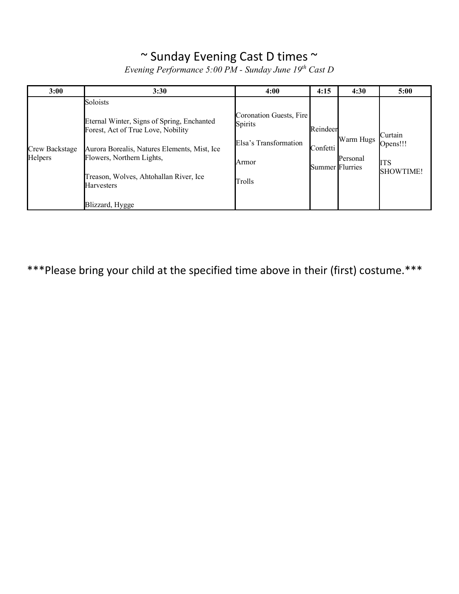## $\sim$  Sunday Evening Cast D times  $\sim$

*Evening Performance 5:00 PM - Sunday June 19th Cast D* 

| 3:00                             | 3:30                                                                                                            | 4:00                               | 4:15                        | 4:30                  | 5:00                                                  |
|----------------------------------|-----------------------------------------------------------------------------------------------------------------|------------------------------------|-----------------------------|-----------------------|-------------------------------------------------------|
| <b>Crew Backstage</b><br>Helpers | Soloists<br>Eternal Winter, Signs of Spring, Enchanted                                                          | Coronation Guests, Fire<br>Spirits | Reindeer                    |                       |                                                       |
|                                  | Forest, Act of True Love, Nobility<br>Aurora Borealis, Natures Elements, Mist, Ice<br>Flowers, Northern Lights, | Elsa's Transformation<br>Armor     | Confetti<br>Summer Flurries | Warm Hugs<br>Personal | Curtain<br>Opens!!!<br><b>ITS</b><br><b>SHOWTIME!</b> |
|                                  | Treason, Wolves, Ahtohallan River, Ice<br><b>Harvesters</b><br>Blizzard, Hygge                                  | Trolls                             |                             |                       |                                                       |

\*\*\*Please bring your child at the specified time above in their (first) costume.\*\*\*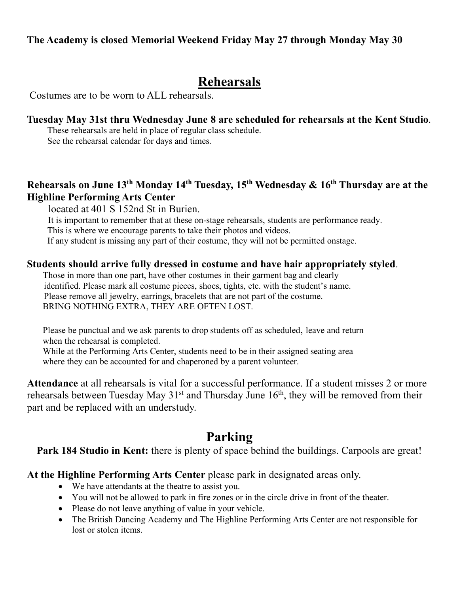#### **The Academy is closed Memorial Weekend Friday May 27 through Monday May 30**

## **Rehearsals**

Costumes are to be worn to ALL rehearsals.

#### **Tuesday May 31st thru Wednesday June 8 are scheduled for rehearsals at the Kent Studio**.

These rehearsals are held in place of regular class schedule.

See the rehearsal calendar for days and times.

#### **Rehearsals on June 13th Monday 14th Tuesday, 15th Wednesday & 16th Thursday are at the Highline Performing Arts Center**

located at 401 S 152nd St in Burien.

 It is important to remember that at these on-stage rehearsals, students are performance ready. This is where we encourage parents to take their photos and videos.

If any student is missing any part of their costume, they will not be permitted onstage.

#### **Students should arrive fully dressed in costume and have hair appropriately styled**.

 Those in more than one part, have other costumes in their garment bag and clearly identified. Please mark all costume pieces, shoes, tights, etc. with the student's name. Please remove all jewelry, earrings, bracelets that are not part of the costume. BRING NOTHING EXTRA, THEY ARE OFTEN LOST.

 Please be punctual and we ask parents to drop students off as scheduled, leave and return when the rehearsal is completed.

 While at the Performing Arts Center, students need to be in their assigned seating area where they can be accounted for and chaperoned by a parent volunteer.

**Attendance** at all rehearsals is vital for a successful performance. If a student misses 2 or more rehearsals between Tuesday May  $31<sup>st</sup>$  and Thursday June  $16<sup>th</sup>$ , they will be removed from their part and be replaced with an understudy.

## **Parking**

**Park 184 Studio in Kent:** there is plenty of space behind the buildings. Carpools are great!

#### **At the Highline Performing Arts Center** please park in designated areas only.

- We have attendants at the theatre to assist you.
- You will not be allowed to park in fire zones or in the circle drive in front of the theater.
- Please do not leave anything of value in your vehicle.
- The British Dancing Academy and The Highline Performing Arts Center are not responsible for lost or stolen items.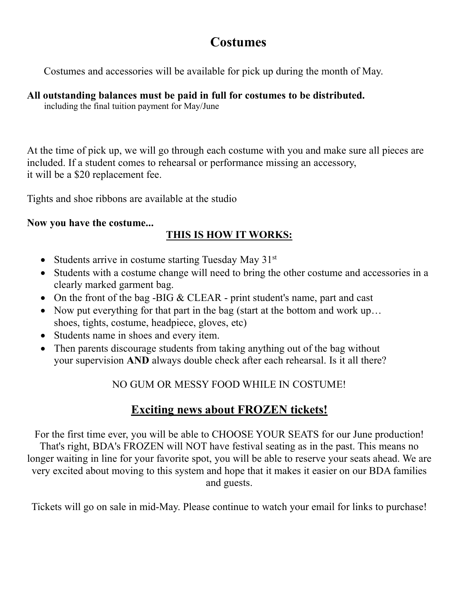## **Costumes**

Costumes and accessories will be available for pick up during the month of May.

#### **All outstanding balances must be paid in full for costumes to be distributed.**

including the final tuition payment for May/June

At the time of pick up, we will go through each costume with you and make sure all pieces are included. If a student comes to rehearsal or performance missing an accessory, it will be a \$20 replacement fee.

Tights and shoe ribbons are available at the studio

#### **Now you have the costume...**

## **THIS IS HOW IT WORKS:**

- Students arrive in costume starting Tuesday May  $31<sup>st</sup>$
- Students with a costume change will need to bring the other costume and accessories in a clearly marked garment bag.
- On the front of the bag -BIG & CLEAR print student's name, part and cast
- Now put everything for that part in the bag (start at the bottom and work up... shoes, tights, costume, headpiece, gloves, etc)
- Students name in shoes and every item.
- Then parents discourage students from taking anything out of the bag without your supervision **AND** always double check after each rehearsal. Is it all there?

### NO GUM OR MESSY FOOD WHILE IN COSTUME!

## **Exciting news about FROZEN tickets!**

For the first time ever, you will be able to CHOOSE YOUR SEATS for our June production! That's right, BDA's FROZEN will NOT have festival seating as in the past. This means no longer waiting in line for your favorite spot, you will be able to reserve your seats ahead. We are very excited about moving to this system and hope that it makes it easier on our BDA families and guests.

Tickets will go on sale in mid-May. Please continue to watch your email for links to purchase!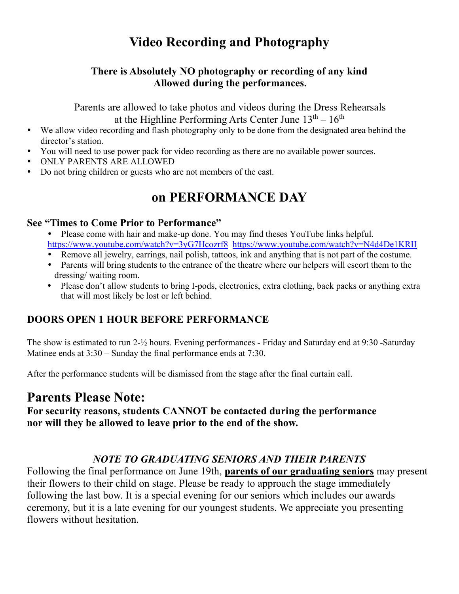## **Video Recording and Photography**

#### **There is Absolutely NO photography or recording of any kind Allowed during the performances.**

 Parents are allowed to take photos and videos during the Dress Rehearsals at the Highline Performing Arts Center June  $13<sup>th</sup> - 16<sup>th</sup>$ 

- We allow video recording and flash photography only to be done from the designated area behind the director's station.
- You will need to use power pack for video recording as there are no available power sources.
- ONLY PARENTS ARE ALLOWED
- Do not bring children or guests who are not members of the cast.

## **on PERFORMANCE DAY**

#### **See "Times to Come Prior to Performance"**

 Please come with hair and make-up done. You may find theses YouTube links helpful. https://www.youtube.com/watch?v=3yG7Hcozrf8 https://www.youtube.com/watch?v=N4d4De1KRII

- Remove all jewelry, earrings, nail polish, tattoos, ink and anything that is not part of the costume.
- Parents will bring students to the entrance of the theatre where our helpers will escort them to the dressing/ waiting room.
- Please don't allow students to bring I-pods, electronics, extra clothing, back packs or anything extra that will most likely be lost or left behind.

#### **DOORS OPEN 1 HOUR BEFORE PERFORMANCE**

The show is estimated to run 2-½ hours. Evening performances - Friday and Saturday end at 9:30 -Saturday Matinee ends at 3:30 – Sunday the final performance ends at 7:30.

After the performance students will be dismissed from the stage after the final curtain call.

## **Parents Please Note:**

**For security reasons, students CANNOT be contacted during the performance nor will they be allowed to leave prior to the end of the show.** 

#### *NOTE TO GRADUATING SENIORS AND THEIR PARENTS*

Following the final performance on June 19th, **parents of our graduating seniors** may present their flowers to their child on stage. Please be ready to approach the stage immediately following the last bow. It is a special evening for our seniors which includes our awards ceremony, but it is a late evening for our youngest students. We appreciate you presenting flowers without hesitation.